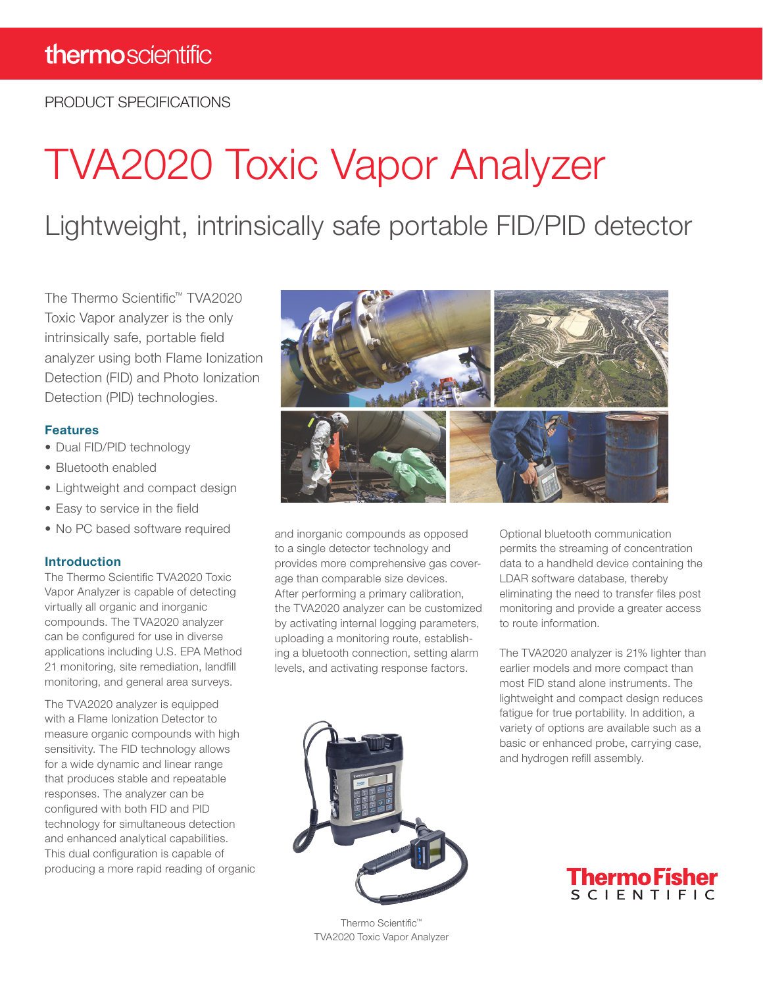PRODUCT SPECIFICATIONS

# TVA2020 Toxic Vapor Analyzer

Lightweight, intrinsically safe portable FID/PID detector

The Thermo Scientific™ TVA2020 Toxic Vapor analyzer is the only intrinsically safe, portable field analyzer using both Flame Ionization Detection (FID) and Photo Ionization Detection (PID) technologies.

#### Features

- Dual FID/PID technology
- Bluetooth enabled
- Lightweight and compact design
- Easy to service in the field
- No PC based software required

#### Introduction

The Thermo Scientific TVA2020 Toxic Vapor Analyzer is capable of detecting virtually all organic and inorganic compounds. The TVA2020 analyzer can be configured for use in diverse applications including U.S. EPA Method 21 monitoring, site remediation, landfill monitoring, and general area surveys.

The TVA2020 analyzer is equipped with a Flame Ionization Detector to measure organic compounds with high sensitivity. The FID technology allows for a wide dynamic and linear range that produces stable and repeatable responses. The analyzer can be configured with both FID and PID technology for simultaneous detection and enhanced analytical capabilities. This dual configuration is capable of producing a more rapid reading of organic



and inorganic compounds as opposed to a single detector technology and provides more comprehensive gas coverage than comparable size devices. After performing a primary calibration, the TVA2020 analyzer can be customized by activating internal logging parameters, uploading a monitoring route, establishing a bluetooth connection, setting alarm levels, and activating response factors.

Optional bluetooth communication permits the streaming of concentration data to a handheld device containing the LDAR software database, thereby eliminating the need to transfer files post monitoring and provide a greater access to route information.

The TVA2020 analyzer is 21% lighter than earlier models and more compact than most FID stand alone instruments. The lightweight and compact design reduces fatigue for true portability. In addition, a variety of options are available such as a basic or enhanced probe, carrying case, and hydrogen refill assembly.